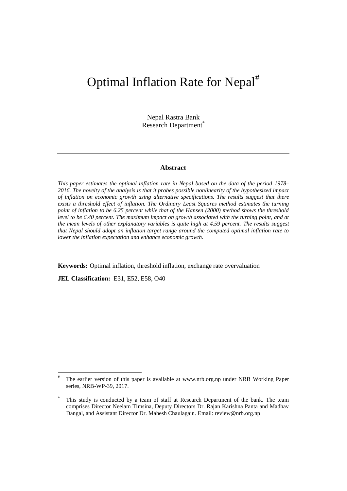# Optimal Inflation Rate for Nepal<sup>#</sup>

Nepal Rastra Bank Research Department<sup>\*</sup>

## **Abstract**

*This paper estimates the optimal inflation rate in Nepal based on the data of the period 1978– 2016. The novelty of the analysis is that it probes possible nonlinearity of the hypothesized impact of inflation on economic growth using alternative specifications. The results suggest that there exists a threshold effect of inflation. The Ordinary Least Squares method estimates the turning point of inflation to be 6.25 percent while that of the Hansen (2000) method shows the threshold level to be 6.40 percent. The maximum impact on growth associated with the turning point, and at the mean levels of other explanatory variables is quite high at 4.59 percent. The results suggest that Nepal should adopt an inflation target range around the computed optimal inflation rate to lower the inflation expectation and enhance economic growth.* 

**Keywords:** Optimal inflation, threshold inflation, exchange rate overvaluation

**JEL Classification:** E31, E52, E58, O40

1

<sup>#</sup> The earlier version of this paper is available at www.nrb.org.np under NRB Working Paper series, NRB-WP-39, 2017.

This study is conducted by a team of staff at Research Department of the bank. The team comprises Director Neelam Timsina, Deputy Directors Dr. Rajan Karishna Panta and Madhav Dangal, and Assistant Director Dr. Mahesh Chaulagain. Email: review@nrb.org.np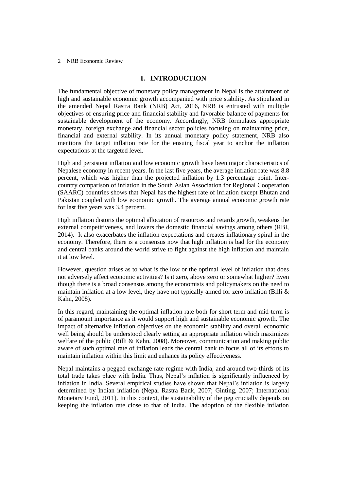## **I. INTRODUCTION**

The fundamental objective of monetary policy management in Nepal is the attainment of high and sustainable economic growth accompanied with price stability. As stipulated in the amended Nepal Rastra Bank (NRB) Act, 2016, NRB is entrusted with multiple objectives of ensuring price and financial stability and favorable balance of payments for sustainable development of the economy. Accordingly, NRB formulates appropriate monetary, foreign exchange and financial sector policies focusing on maintaining price, financial and external stability. In its annual monetary policy statement, NRB also mentions the target inflation rate for the ensuing fiscal year to anchor the inflation expectations at the targeted level.

High and persistent inflation and low economic growth have been major characteristics of Nepalese economy in recent years. In the last five years, the average inflation rate was 8.8 percent, which was higher than the projected inflation by 1.3 percentage point. Intercountry comparison of inflation in the South Asian Association for Regional Cooperation (SAARC) countries shows that Nepal has the highest rate of inflation except Bhutan and Pakistan coupled with low economic growth. The average annual economic growth rate for last five years was 3.4 percent.

High inflation distorts the optimal allocation of resources and retards growth, weakens the external competitiveness, and lowers the domestic financial savings among others (RBI, 2014). It also exacerbates the inflation expectations and creates inflationary spiral in the economy. Therefore, there is a consensus now that high inflation is bad for the economy and central banks around the world strive to fight against the high inflation and maintain it at low level.

However, question arises as to what is the low or the optimal level of inflation that does not adversely affect economic activities? Is it zero, above zero or somewhat higher? Even though there is a broad consensus among the economists and policymakers on the need to maintain inflation at a low level, they have not typically aimed for zero inflation (Billi & Kahn, 2008).

In this regard, maintaining the optimal inflation rate both for short term and mid-term is of paramount importance as it would support high and sustainable economic growth. The impact of alternative inflation objectives on the economic stability and overall economic well being should be understood clearly setting an appropriate inflation which maximizes welfare of the public (Billi & Kahn, 2008). Moreover, communication and making public aware of such optimal rate of inflation leads the central bank to focus all of its efforts to maintain inflation within this limit and enhance its policy effectiveness.

Nepal maintains a pegged exchange rate regime with India, and around two-thirds of its total trade takes place with India. Thus, Nepal's inflation is significantly influenced by inflation in India. Several empirical studies have shown that Nepal's inflation is largely determined by Indian inflation (Nepal Rastra Bank, 2007; Ginting, 2007; International Monetary Fund, 2011). In this context, the sustainability of the peg crucially depends on keeping the inflation rate close to that of India. The adoption of the flexible inflation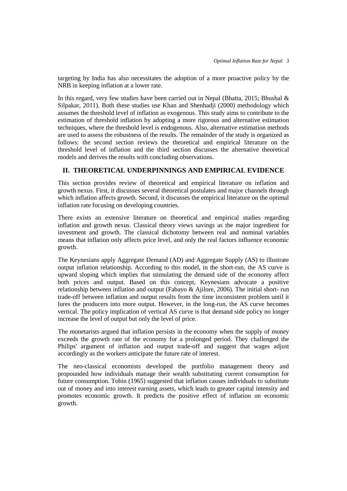targeting by India has also necessitates the adoption of a more proactive policy by the NRB in keeping inflation at a lower rate.

In this regard, very few studies have been carried out in Nepal (Bhatta, 2015; Bhushal & Silpakar, 2011). Both these studies use Khan and Shenhadji (2000) methodology which assumes the threshold level of inflation as exogenous. This study aims to contribute to the estimation of threshold inflation by adopting a more rigorous and alternative estimation techniques, where the threshold level is endogenous. Also, alternative estimation methods are used to assess the robustness of the results. The remainder of the study is organized as follows: the second section reviews the theoretical and empirical literature on the threshold level of inflation and the third section discusses the alternative theoretical models and derives the results with concluding observations.

## **II. THEORETICAL UNDERPINNINGS AND EMPIRICAL EVIDENCE**

This section provides review of theoretical and empirical literature on inflation and growth nexus. First, it discusses several theoretical postulates and major channels through which inflation affects growth. Second, it discusses the empirical literature on the optimal inflation rate focusing on developing countries.

There exists an extensive literature on theoretical and empirical studies regarding inflation and growth nexus. Classical theory views savings as the major ingredient for investment and growth. The classical dichotomy between real and nominal variables means that inflation only affects price level, and only the real factors influence economic growth.

The Keynesians apply Aggregate Demand (AD) and Aggregate Supply (AS) to illustrate output inflation relationship. According to this model, in the short-run, the AS curve is upward sloping which implies that stimulating the demand side of the economy affect both prices and output. Based on this concept, Keynesians advocate a positive relationship between inflation and output (Fabayo & Ajilore, 2006). The initial short- run trade-off between inflation and output results from the time inconsistent problem until it lures the producers into more output. However, in the long-run, the AS curve becomes vertical. The policy implication of vertical AS curve is that demand side policy no longer increase the level of output but only the level of price.

The monetarists argued that inflation persists in the economy when the supply of money exceeds the growth rate of the economy for a prolonged period. They challenged the Philips' argument of inflation and output trade-off and suggest that wages adjust accordingly as the workers anticipate the future rate of interest.

The neo-classical economists developed the portfolio management theory and propounded how individuals manage their wealth substituting current consumption for future consumption. Tobin (1965) suggested that inflation causes individuals to substitute out of money and into interest earning assets, which leads to greater capital intensity and promotes economic growth. It predicts the positive effect of inflation on economic growth.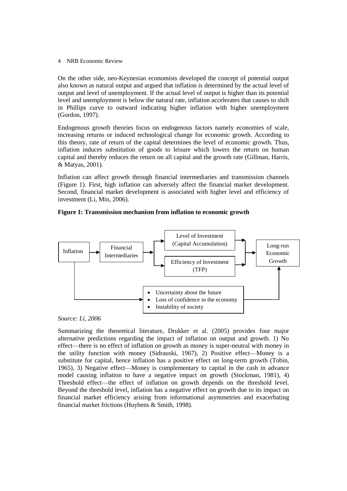On the other side, neo-Keynesian economists developed the concept of potential output also known as natural output and argued that inflation is determined by the actual level of output and level of unemployment. If the actual level of output is higher than its potential level and unemployment is below the natural rate, inflation accelerates that causes to shift in Phillips curve to outward indicating higher inflation with higher unemployment (Gordon, 1997).

Endogenous growth theories focus on endogenous factors namely economies of scale, increasing returns or induced technological change for economic growth. According to this theory, rate of return of the capital determines the level of economic growth. Thus, inflation induces substitution of goods to leisure which lowers the return on human capital and thereby reduces the return on all capital and the growth rate (Gillman, Harris, & Matyas, 2001).

Inflation can affect growth through financial intermediaries and transmission channels (Figure 1). First, high inflation can adversely affect the financial market development. Second, financial market development is associated with higher level and efficiency of investment (Li, Min, 2006).

## **Figure 1: Transmission mechanism from inflation to economic growth**



*Source: Li, 2006*

Summarizing the theoretical literature, Drukker et al. (2005) provides four major alternative predictions regarding the impact of inflation on output and growth. 1) No effect—there is no effect of inflation on growth as money is super-neutral with money in the utility function with money (Sidrauski, 1967), 2) Positive effect—Money is a substitute for capital, hence inflation has a positive effect on long-term growth (Tobin, 1965), 3) Negative effect—Money is complementary to capital in the cash in advance model causing inflation to have a negative impact on growth (Stockman, 1981), 4) Threshold effect—the effect of inflation on growth depends on the threshold level. Beyond the threshold level, inflation has a negative effect on growth due to its impact on financial market efficiency arising from informational asymmetries and exacerbating financial market frictions (Huybens & Smith, 1998).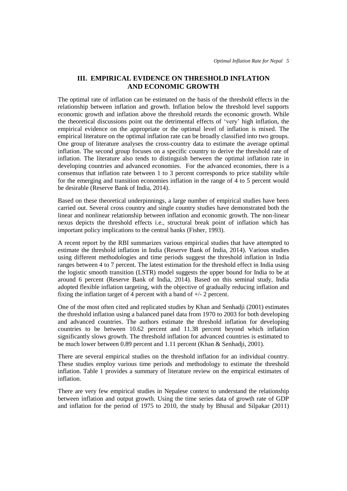## **III. EMPIRICAL EVIDENCE ON THRESHOLD INFLATION AND ECONOMIC GROWTH**

The optimal rate of inflation can be estimated on the basis of the threshold effects in the relationship between inflation and growth. Inflation below the threshold level supports economic growth and inflation above the threshold retards the economic growth. While the theoretical discussions point out the detrimental effects of 'very' high inflation, the empirical evidence on the appropriate or the optimal level of inflation is mixed. The empirical literature on the optimal inflation rate can be broadly classified into two groups. One group of literature analyses the cross-country data to estimate the average optimal inflation. The second group focuses on a specific country to derive the threshold rate of inflation. The literature also tends to distinguish between the optimal inflation rate in developing countries and advanced economies. For the advanced economies, there is a consensus that inflation rate between 1 to 3 percent corresponds to price stability while for the emerging and transition economies inflation in the range of 4 to 5 percent would be desirable (Reserve Bank of India, 2014).

Based on these theoretical underpinnings, a large number of empirical studies have been carried out. Several cross country and single country studies have demonstrated both the linear and nonlinear relationship between inflation and economic growth. The non-linear nexus depicts the threshold effects i.e., structural break point of inflation which has important policy implications to the central banks (Fisher, 1993).

A recent report by the RBI summarizes various empirical studies that have attempted to estimate the threshold inflation in India (Reserve Bank of India, 2014). Various studies using different methodologies and time periods suggest the threshold inflation in India ranges between 4 to 7 percent. The latest estimation for the threshold effect in India using the logistic smooth transition (LSTR) model suggests the upper bound for India to be at around 6 percent (Reserve Bank of India, 2014). Based on this seminal study, India adopted flexible inflation targeting, with the objective of gradually reducing inflation and fixing the inflation target of 4 percent with a band of +/- 2 percent.

One of the most often cited and replicated studies by Khan and Senhadji (2001) estimates the threshold inflation using a balanced panel data from 1970 to 2003 for both developing and advanced countries. The authors estimate the threshold inflation for developing countries to be between 10.62 percent and 11.38 percent beyond which inflation significantly slows growth. The threshold inflation for advanced countries is estimated to be much lower between 0.89 percent and 1.11 percent (Khan & Senhadji, 2001).

There are several empirical studies on the threshold inflation for an individual country. These studies employ various time periods and methodology to estimate the threshold inflation. Table 1 provides a summary of literature review on the empirical estimates of inflation.

There are very few empirical studies in Nepalese context to understand the relationship between inflation and output growth. Using the time series data of growth rate of GDP and inflation for the period of 1975 to 2010, the study by Bhusal and Silpakar (2011)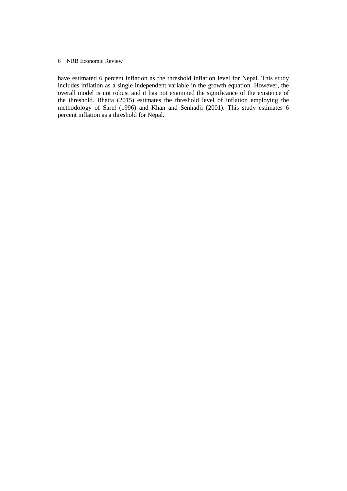have estimated 6 percent inflation as the threshold inflation level for Nepal. This study includes inflation as a single independent variable in the growth equation. However, the overall model is not robust and it has not examined the significance of the existence of the threshold. Bhatta (2015) estimates the threshold level of inflation employing the methodology of Sarel (1996) and Khan and Senhadji (2001). This study estimates 6 percent inflation as a threshold for Nepal.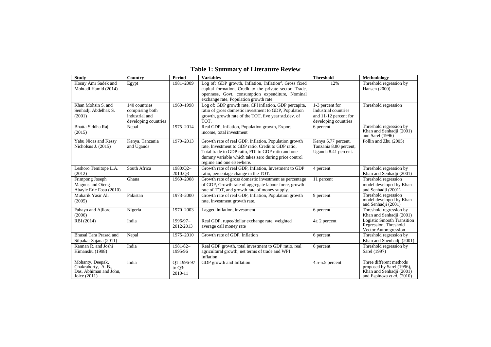| <b>Study</b>                                                                        | Country                                                                    | <b>Period</b>                      | <b>Variables</b>                                                                                                                                                                                                                                        | <b>Threshold</b>                                                                         | Methodology                                                                                                    |
|-------------------------------------------------------------------------------------|----------------------------------------------------------------------------|------------------------------------|---------------------------------------------------------------------------------------------------------------------------------------------------------------------------------------------------------------------------------------------------------|------------------------------------------------------------------------------------------|----------------------------------------------------------------------------------------------------------------|
| Hosny Amr Sadek and<br>Mohtadi Hamid (2014)                                         | Egypt                                                                      | 1981-2009                          | Log of: GDP growth, Inflation, Inflation <sup>2</sup> , Gross fixed<br>capital formation, Credit to the private sector, Trade,<br>openness, Govt. consumption expenditure, Nominal<br>exchange rate, Population growth rate.                            | 12%                                                                                      | Threshold regression by<br>Hansen (2000)                                                                       |
| Khan Mohsin S. and<br>Senhadji Abdelhak S.<br>(2001)                                | 140 countries<br>comprising both<br>industrial and<br>developing countries | 1960-1998                          | Log of: GDP growth rate, CPI inflation, GDP percapita,<br>ratio of gross domestic investment to GDP, Population<br>growth, growth rate of the TOT, five year std.dev. of<br>TOT.                                                                        | 1-3 percent for<br>Industrial countries<br>and 11-12 percent for<br>developing countries | Threshold regression                                                                                           |
| Bhatta Siddha Raj<br>(2015)                                                         | Nepal                                                                      | 1975-2014                          | Real GDP, Inflation, Population growth, Export<br>income, total investment                                                                                                                                                                              | 6 percent                                                                                | Threshold regression by<br>Khan and Senhadji (2001)<br>and Sarel (1996)                                        |
| Yabu Nicas and Kessy<br>Nicholsus J. (2015)                                         | Kenya, Tanzania<br>and Ugands                                              | 1970-2013                          | Growth rate of real GDP, Inflation, Population growth<br>rate, Investment to GDP ratio, Credit to GDP ratio,<br>Total trade to GDP ratio, FDI to GDP ratio and one<br>dummy variable which takes zero during price control<br>regime and one elsewhere. | Kenya 6.77 percent,<br>Tanzania 8.80 percent,<br>Uganda 8.41 percent.                    | Pollin and Zhu (2005)                                                                                          |
| Leshoro Temitope L.A.<br>(2012)                                                     | South Africa                                                               | 1980:02-<br>2010:03                | Growth rate of real GDP, Inflation, Investment to GDP<br>ratio, percentage change in the TOT.                                                                                                                                                           | 4 percent                                                                                | Threshold regression by<br>Khan and Senhadji (2001)                                                            |
| Frimpong Joseph<br>Magnus and Oteng-<br>Abayie Eric Fosu (2010)                     | Ghana                                                                      | 1960-2008                          | Growth rate of gross domestic investment as percentage<br>of GDP, Growth rate of aggregate labour force, growth<br>rate of TOT, and growth rate of money supply.                                                                                        | 11 percent                                                                               | Threshold regression<br>model developed by Khan<br>and Senhadji (2001)                                         |
| Mubarik Yasir Ali<br>(2005)                                                         | Pakistan                                                                   | 1973-2000                          | Growth rate of real GDP, Inflation, Population growth<br>rate, Investment growth rate.                                                                                                                                                                  | 9 percent                                                                                | Threshold regression<br>model developed by Khan<br>and Senhadji (2001)                                         |
| Fabayo and Ajilore<br>(2006)                                                        | Nigeria                                                                    | 1970-2003                          | Lagged inflation, investment                                                                                                                                                                                                                            | 6 percent                                                                                | Threshold regression by<br>Khan and Senhadji (2001)                                                            |
| RBI (2014)                                                                          | India                                                                      | 1996/97-<br>2012/2013              | Real GDP, rupee/dollar exchange rate, weighted<br>average call money rate                                                                                                                                                                               | $4\pm 2$ percent                                                                         | <b>Logistic Smooth Transition</b><br>Regression, Threshold<br>Vector Autoregression                            |
| Bhusal Tara Prasad and<br>Silpakar Sajana (2011)                                    | Nepal                                                                      | 1975-2010                          | Growth rate of GDP, Inflation                                                                                                                                                                                                                           | 6 percent                                                                                | Threshold regression by<br>Khan and Shenhadji (2001)                                                           |
| Kannan R. and Joshi<br>Himanshu (1998)                                              | India                                                                      | 1981/82-<br>1995/96                | Real GDP growth, total investment to GDP ratio, real<br>agricultural growth, net terms of trade and WPI<br>inflation.                                                                                                                                   | 6 percent                                                                                | Threshold regression by<br>Sarel (1997)                                                                        |
| Mohanty, Deepak,<br>Chakraborty, A. B.,<br>Das, Abhiman and John,<br>Joice $(2011)$ | India                                                                      | O1:1996-97<br>to $Q3$ :<br>2010-11 | GDP growth and Inflation                                                                                                                                                                                                                                | $4.5 - 5.5$ percent                                                                      | Three different methods<br>proposed by Sarel (1996),<br>Khan and Senhadji (2001)<br>and Espinoza et al. (2010) |

## **Table 1: Summary of Literature Review**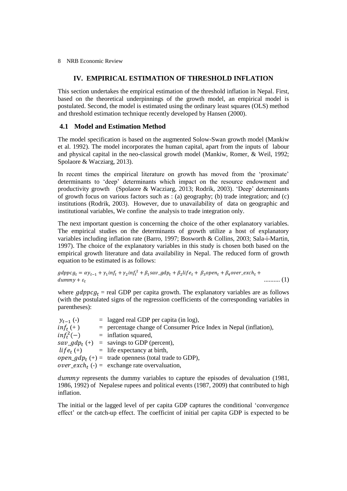## **IV. EMPIRICAL ESTIMATION OF THRESHOLD INFLATION**

This section undertakes the empirical estimation of the threshold inflation in Nepal. First, based on the theoretical underpinnings of the growth model, an empirical model is postulated. Second, the model is estimated using the ordinary least squares (OLS) method and threshold estimation technique recently developed by Hansen (2000).

## **4.1 Model and Estimation Method**

The model specification is based on the augmented Solow-Swan growth model (Mankiw et al. 1992). The model incorporates the human capital, apart from the inputs of labour and physical capital in the neo-classical growth model (Mankiw, Romer, & Weil, 1992; Spolaore & Wacziarg, 2013).

In recent times the empirical literature on growth has moved from the 'proximate' determinants to 'deep' determinants which impact on the resource endowment and productivity growth (Spolaore & Wacziarg, 2013; Rodrik, 2003). 'Deep' determinants of growth focus on various factors such as : (a) geography; (b) trade integration; and (c) institutions (Rodrik, 2003). However, due to unavailability of data on geographic and institutional variables, We confine the analysis to trade integration only.

The next important question is concerning the choice of the other explanatory variables. The empirical studies on the determinants of growth utilize a host of explanatory variables including inflation rate (Barro, 1997; Bosworth & Collins, 2003; Sala-i-Martin, 1997). The choice of the explanatory variables in this study is chosen both based on the empirical growth literature and data availability in Nepal. The reduced form of growth equation to be estimated is as follows:

```
gdppcg_t = \alpha y_{t-1} + \gamma_1 inf_t + \gamma_2 inf_t^2dummv + \varepsilon_t.......... (1)
```
where  $gdppcg_t$  = real GDP per capita growth. The explanatory variables are as follows (with the postulated signs of the regression coefficients of the corresponding variables in parentheses):

| $y_{t-1}(-)$ | $=$ lagged real GDP per capita (in log),                               |
|--------------|------------------------------------------------------------------------|
| $inft(+)$    | $=$ percentage change of Consumer Price Index in Nepal (inflation),    |
| $inf_t^2(-)$ | $=$ inflation squared,                                                 |
|              | $sav\_gdp_t$ (+) = savings to GDP (percent),                           |
|              | $life_t (+)$ = life expectancy at birth,                               |
|              | <i>open_gdp<sub>t</sub></i> (+) = trade openness (total trade to GDP), |
|              | <i>over_exch<sub>t</sub></i> (-) = exchange rate overvaluation,        |

dummy represents the dummy variables to capture the episodes of devaluation (1981, 1986, 1992) of Nepalese rupees and political events (1987, 2009) that contributed to high inflation.

The initial or the lagged level of per capita GDP captures the conditional 'convergence effect' or the catch-up effect. The coefficint of initial per capita GDP is expected to be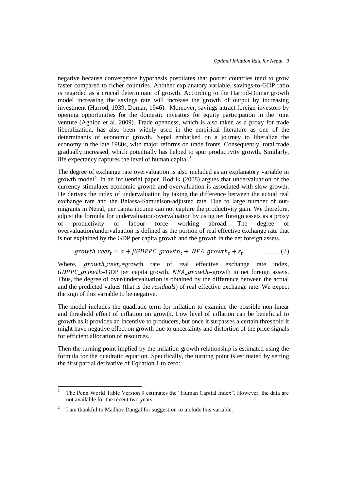negative because convergence hypothesis postulates that poorer countries tend to grow faster compared to richer countries. Another explanatory variable, savings-to-GDP ratio is regarded as a crucial determinant of growth. According to the Harrod-Domar growth model increasing the savings rate will increase the growth of output by increasing investment (Harrod, 1939; Domar, 1946). Moreover, savings attract foreign investors by opening opportunities for the domestic investors for equity participation in the joint venture (Aghion et al. 2009). Trade openness, which is also taken as a proxy for trade liberalization, has also been widely used in the empirical literature as one of the determinants of economic growth. Nepal embarked on a journey to liberalize the economy in the late 1980s, with major reforms on trade fronts. Consequently, total trade gradually increased, which potentially has helped to spur productivity growth. Similarly, life expectancy captures the level of human capital.<sup>1</sup>

The degree of exchange rate overvaluation is also included as an explanatory variable in growth model<sup>2</sup>. In an influential paper, Rodrik (2008) argues that undervaluation of the currency stimulates economic growth and overvaluation is associated with slow growth. He derives the index of undervaluation by taking the difference between the actual real exchange rate and the Balassa-Samuelson-adjusted rate. Due to large number of outmigrants in Nepal, per capita income can not capture the productivity gain. We therefore, adjust the formula for undervaluation/overvaluation by using net foreign assets as a proxy of productivity of labour force working abroad. The degree of overvaluation/undervaluation is defined as the portion of real effective exchange rate that is not explained by the GDP per capita growth and the growth in the net foreign assets.

$$
growth\_reer_t = \alpha + \beta GDPPC\_growth_t + NFA\_growth_t + \varepsilon_t \quad \quad \dots \dots \dots \tag{2}
$$

Where,  $growth\_reer_t =$ growth rate of real effective exchange rate index,  $GDPPC\_growth$ =GDP per capita growth,  $NFA\_growth$ =growth in net foreign assets. Thus, the degree of over/undervaluation is obtained by the difference between the actual and the predicted values (that is the *residuals*) of real effective exchange rate. We expect the sign of this variable to be negative.

The model includes the quadratic term for inflation to examine the possible non-linear and threshold effect of inflation on growth. Low level of inflation can be beneficial to growth as it provides an incentive to producers, but once it surpasses a certain threshold it might have negative effect on growth due to uncertainty and distortion of the price signals for efficient allocation of resources.

Then the turning point implied by the inflation-growth relationship is estimated using the formula for the quadratic equation. Specifically, the turning point is estimated by setting the first partial derivative of Equation 1 to zero:

 $\ddot{\phantom{a}}$ 

<sup>1</sup> The Penn World Table Version 9 estimates the "Human Capital Index". However, the data are not available for the recent two years.

<sup>2</sup> I am thankful to Madhav Dangal for suggestion to include this variable.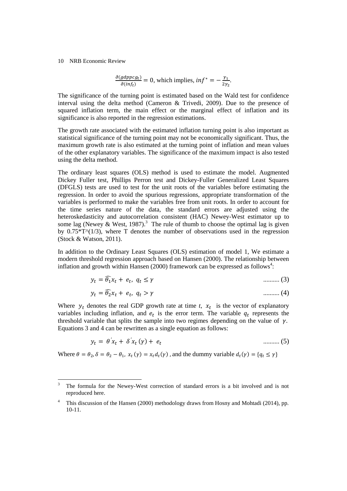1

$$
\frac{\partial (gdppcg_t)}{\partial (inf_t)} = 0
$$
, which implies,  $inf^* = -\frac{\gamma_1}{2\gamma_2}$ .

The significance of the turning point is estimated based on the Wald test for confidence interval using the delta method (Cameron & Trivedi, 2009). Due to the presence of squared inflation term, the main effect or the marginal effect of inflation and its significance is also reported in the regression estimations.

The growth rate associated with the estimated inflation turning point is also important as statistical significance of the turning point may not be economically significant. Thus, the maximum growth rate is also estimated at the turning point of inflation and mean values of the other explanatory variables. The significance of the maximum impact is also tested using the delta method.

The ordinary least squares (OLS) method is used to estimate the model. Augmented Dickey Fuller test, Phillips Perron test and Dickey-Fuller Generalized Least Squares (DFGLS) tests are used to test for the unit roots of the variables before estimating the regression. In order to avoid the spurious regressions, appropriate transformation of the variables is performed to make the variables free from unit roots. In order to account for the time series nature of the data, the standard errors are adjusted using the heteroskedasticity and autocorrelation consistent (HAC) Newey-West estimator up to some lag (Newey & West, 1987).<sup>3</sup> The rule of thumb to choose the optimal lag is given by  $0.75*T^{\wedge}(1/3)$ , where T denotes the number of observations used in the regression (Stock & Watson, 2011).

In addition to the Ordinary Least Squares (OLS) estimation of model 1, We estimate a modern threshold regression approach based on Hansen (2000). The relationship between inflation and growth within Hansen (2000) framework can be expressed as follows<sup>4</sup>:

$$
y_t = \widehat{\theta_1} x_t + e_t, \ q_t \le \gamma \tag{3}
$$

$$
y_t = \widehat{\theta_2} x_t + e_t, \quad q_t > \gamma \tag{4}
$$

Where  $y_t$  denotes the real GDP growth rate at time *t*,  $x_t$  is the vector of explanatory variables including inflation, and  $e_t$  is the error term. The variable  $q_t$  represents the threshold variable that splits the sample into two regimes depending on the value of  $\gamma$ . Equations 3 and 4 can be rewritten as a single equation as follows:

$$
y_t = \theta' x_t + \delta' x_t \left( \gamma \right) + e_t \tag{5}
$$

Where  $\theta = \theta_2$ ,  $\delta = \theta_2 - \theta_1$ ,  $x_t(\gamma) = x_t d_t(\gamma)$ , and the dummy variable  $d_t(\gamma)$ 

<sup>3</sup> The formula for the Newey-West correction of standard errors is a bit involved and is not reproduced here.

<sup>4</sup> This discussion of the Hansen (2000) methodology draws from Hosny and Mohtadi (2014), pp. 10-11.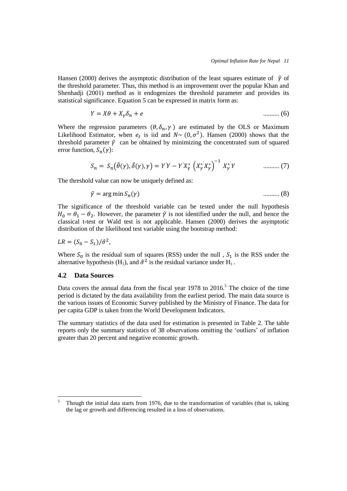Hansen (2000) derives the asymptotic distribution of the least squares estimate of  $\hat{\gamma}$  of the threshold parameter. Thus, this method is an improvement over the popular Khan and Shenhadji (2001) method as it endogenizes the threshold parameter and provides its statistical significance. Equation 5 can be expressed in matrix form as:

$$
Y = X\theta + X_{\gamma}\delta_n + e \tag{6}
$$

Where the regression parameters  $(\theta, \delta_n, \gamma)$  are estimated by the OLS or Maximum Likelihood Estimator, when  $e_t$  is iid and  $N \sim (0, \sigma^2)$ . Hansen (2000) shows that the threshold parameter  $\hat{\gamma}$  can be obtained by minimizing the concentrated sum of squared error function,  $S_n($ 

$$
S_n = S_n(\hat{\theta}(\gamma), \hat{\delta}(\gamma), \gamma) = Y'Y - Y'X_{\gamma}^* \left(X_{\gamma}^* X_{\gamma}^*\right)^{-1} X_{\gamma}^* Y \qquad \qquad \dots \dots \dots \tag{7}
$$

The threshold value can now be uniquely defined as:

$$
\hat{\gamma} = \arg\min S_n(\gamma) \tag{8}
$$

The significance of the threshold variable can be tested under the null hypothesis  $H_0 = \theta_1 - \theta_2$ . However, the parameter  $\hat{\gamma}$  is not identified under the null, and hence the classical t-test or Wald test is not applicable. Hansen (2000) derives the asymptotic distribution of the likelihood test variable using the bootstrap method:

$$
LR = (S_0 - S_1)/\hat{\sigma}^2,
$$

Where  $S_0$  is the residual sum of squares (RSS) under the null ,  $S_1$  is the RSS under the alternative hypothesis (H<sub>1</sub>), and  $\hat{\sigma}^2$  is the residual variance under H<sub>1</sub>.

## **4.2 Data Sources**

Data covers the annual data from the fiscal year  $1978$  to  $2016$ .<sup>5</sup> The choice of the time period is dictated by the data availability from the earliest period. The main data source is the various issues of Economic Survey published by the Ministry of Finance. The data for per capita GDP is taken from the World Development Indicators.

The summary statistics of the data used for estimation is presented in Table 2. The table reports only the summary statistics of 38 observations omitting the 'outliers' of inflation greater than 20 percent and negative economic growth.

<sup>5</sup> <sup>5</sup> Though the initial data starts from 1976, due to the transformation of variables (that is, taking the lag or growth and differencing resulted in a loss of observations.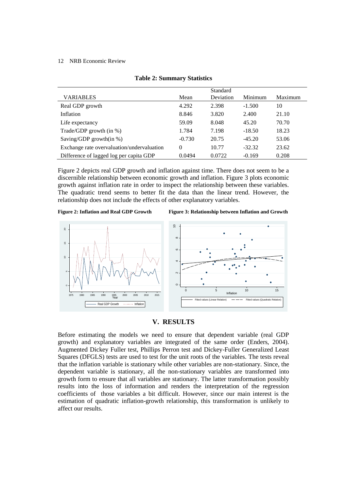|                                            |          | Standard  |          |         |
|--------------------------------------------|----------|-----------|----------|---------|
| <b>VARIABLES</b>                           | Mean     | Deviation | Minimum  | Maximum |
| Real GDP growth                            | 4.292    | 2.398     | $-1.500$ | 10      |
| Inflation                                  | 8.846    | 3.820     | 2.400    | 21.10   |
| Life expectancy                            | 59.09    | 8.048     | 45.20    | 70.70   |
| Trade/GDP growth $(in %)$                  | 1.784    | 7.198     | $-18.50$ | 18.23   |
| Saving/GDP growth(in $\%$ )                | $-0.730$ | 20.75     | $-45.20$ | 53.06   |
| Exchange rate overvaluation/undervaluation | $\theta$ | 10.77     | $-32.32$ | 23.62   |
| Difference of lagged log per capita GDP    | 0.0494   | 0.0722    | $-0.169$ | 0.208   |

|  |  |  | <b>Table 2: Summary Statistics</b> |  |
|--|--|--|------------------------------------|--|
|--|--|--|------------------------------------|--|

Figure 2 depicts real GDP growth and inflation against time. There does not seem to be a discernible relationship between economic growth and inflation. Figure 3 plots economic growth against inflation rate in order to inspect the relationship between these variables. The quadratic trend seems to better fit the data than the linear trend. However, the relationship does not include the effects of other explanatory variables.



**Figure 2: Inflation and Real GDP Growth Figure 3: Relationship between Inflation and Growth**



## **V. RESULTS**

Before estimating the models we need to ensure that dependent variable (real GDP growth) and explanatory variables are integrated of the same order (Enders, 2004). Augmented Dickey Fuller test, Phillips Perron test and Dickey-Fuller Generalized Least Squares (DFGLS) tests are used to test for the unit roots of the variables. The tests reveal that the inflation variable is stationary while other variables are non-stationary. Since, the dependent variable is stationary, all the non-stationary variables are transformed into growth form to ensure that all variables are stationary. The latter transformation possibly results into the loss of information and renders the interpretation of the regression coefficients of those variables a bit difficult. However, since our main interest is the estimation of quadratic inflation-growth relationship, this transformation is unlikely to affect our results.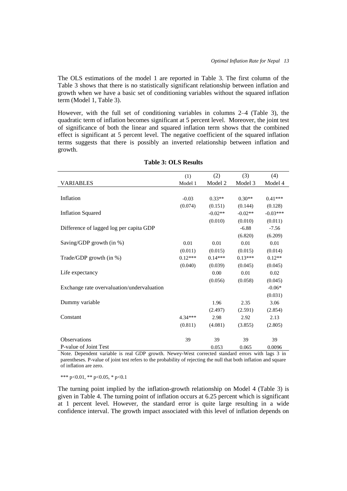The OLS estimations of the model 1 are reported in Table 3. The first column of the Table 3 shows that there is no statistically significant relationship between inflation and growth when we have a basic set of conditioning variables without the squared inflation term (Model 1, Table 3).

However, with the full set of conditioning variables in columns 2–4 (Table 3), the quadratic term of inflation becomes significant at 5 percent level. Moreover, the joint test of significance of both the linear and squared inflation term shows that the combined effect is significant at 5 percent level. The negative coefficient of the squared inflation terms suggests that there is possibly an inverted relationship between inflation and growth.

|                                            | (1)       | (2)       | (3)       | (4)        |
|--------------------------------------------|-----------|-----------|-----------|------------|
| VARIABLES                                  | Model 1   | Model 2   | Model 3   | Model 4    |
|                                            |           |           |           |            |
| Inflation                                  | $-0.03$   | $0.33**$  | $0.30**$  | $0.41***$  |
|                                            | (0.074)   | (0.151)   | (0.144)   | (0.128)    |
| <b>Inflation Squared</b>                   |           | $-0.02**$ | $-0.02**$ | $-0.03***$ |
|                                            |           | (0.010)   | (0.010)   | (0.011)    |
| Difference of lagged log per capita GDP    |           |           | $-6.88$   | $-7.56$    |
|                                            |           |           | (6.820)   | (6.209)    |
| Saving/GDP growth (in %)                   | $0.01\,$  | 0.01      | 0.01      | 0.01       |
|                                            | (0.011)   | (0.015)   | (0.015)   | (0.014)    |
| Trade/GDP growth (in %)                    | $0.12***$ | $0.14***$ | $0.13***$ | $0.12**$   |
|                                            | (0.040)   | (0.039)   | (0.045)   | (0.045)    |
| Life expectancy                            |           | 0.00      | 0.01      | 0.02       |
|                                            |           | (0.056)   | (0.058)   | (0.045)    |
| Exchange rate overvaluation/undervaluation |           |           |           | $-0.06*$   |
|                                            |           |           |           | (0.031)    |
| Dummy variable                             |           | 1.96      | 2.35      | 3.06       |
|                                            |           | (2.497)   | (2.591)   | (2.854)    |
| Constant                                   | $4.34***$ | 2.98      | 2.92      | 2.13       |
|                                            | (0.811)   | (4.081)   | (3.855)   | (2.805)    |
|                                            |           |           |           |            |
| Observations                               | 39        | 39        | 39        | 39         |
| P-value of Joint Test                      |           | 0.053     | 0.065     | 0.0096     |

|  |  | <b>Table 3: OLS Results</b> |
|--|--|-----------------------------|
|--|--|-----------------------------|

Note. Dependent variable is real GDP growth. Newey-West corrected standard errors with lags 3 in parentheses. P-value of joint test refers to the probability of rejecting the null that both inflation and square of inflation are zero.

\*\*\* p<0.01, \*\* p<0.05, \* p<0.1

The turning point implied by the inflation-growth relationship on Model 4 (Table 3) is given in Table 4. The turning point of inflation occurs at 6.25 percent which is significant at 1 percent level. However, the standard error is quite large resulting in a wide confidence interval. The growth impact associated with this level of inflation depends on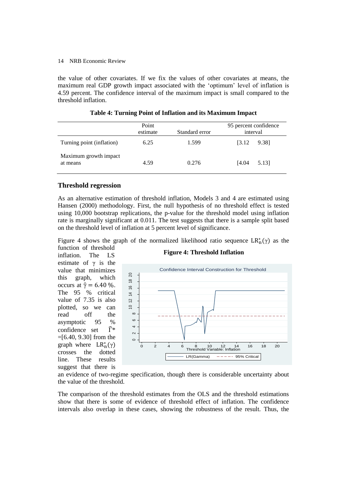the value of other covariates. If we fix the values of other covariates at means, the maximum real GDP growth impact associated with the 'optimum' level of inflation is 4.59 percent. The confidence interval of the maximum impact is small compared to the threshold inflation.

|                                   | Point<br>estimate | Standard error | 95 percent confidence<br>interval |
|-----------------------------------|-------------------|----------------|-----------------------------------|
| Turning point (inflation)         | 6.25              | 1.599          | 9.381<br><b>13.12</b>             |
| Maximum growth impact<br>at means | 4.59              | 0.276          | F4.04<br>5.13]                    |

**Table 4: Turning Point of Inflation and its Maximum Impact**

## **Threshold regression**

As an alternative estimation of threshold inflation, Models 3 and 4 are estimated using Hansen (2000) methodology. First, the null hypothesis of no threshold effect is tested using 10,000 bootstrap replications, the p-value for the threshold model using inflation rate is marginally significant at 0.011. The test suggests that there is a sample split based on the threshold level of inflation at 5 percent level of significance.

Figure 4 shows the graph of the normalized likelihood ratio sequence  $LR_n^*(\gamma)$  as the function of threshold

inflation. The LS estimate of  $\gamma$  is the value that minimizes this graph, which occurs at  $\hat{\gamma} = 6.40$  %. The 95 % critical value of 7.35 is also plotted, so we can read off the asymptotic 95 %  $\text{confidence}$  set  $\widehat{\Gamma}^*$ =[6.40, 9.30] from the graph where  $LR_n^*$  ( crosses the dotted line. These results suggest that there is





an evidence of two-regime specification, though there is considerable uncertainty about the value of the threshold.

The comparison of the threshold estimates from the OLS and the threshold estimations show that there is some of evidence of threshold effect of inflation. The confidence intervals also overlap in these cases, showing the robustness of the result. Thus, the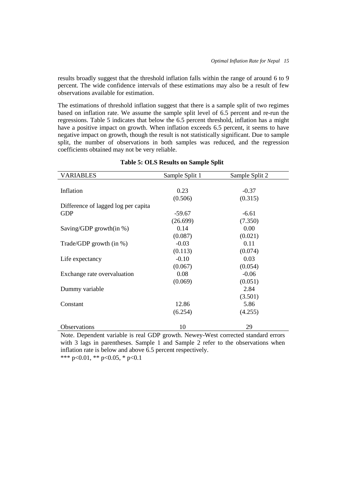results broadly suggest that the threshold inflation falls within the range of around 6 to 9 percent. The wide confidence intervals of these estimations may also be a result of few observations available for estimation.

The estimations of threshold inflation suggest that there is a sample split of two regimes based on inflation rate. We assume the sample split level of 6.5 percent and re-run the regressions. Table 5 indicates that below the 6.5 percent threshold, inflation has a might have a positive impact on growth. When inflation exceeds 6.5 percent, it seems to have negative impact on growth, though the result is not statistically significant. Due to sample split, the number of observations in both samples was reduced, and the regression coefficients obtained may not be very reliable.

| <b>VARIABLES</b>                    | Sample Split 1 | Sample Split 2 |
|-------------------------------------|----------------|----------------|
|                                     |                |                |
| Inflation                           | 0.23           | $-0.37$        |
|                                     | (0.506)        | (0.315)        |
| Difference of lagged log per capita |                |                |
| <b>GDP</b>                          | $-59.67$       | $-6.61$        |
|                                     | (26.699)       | (7.350)        |
| Saving/GDP growth(in $\%$ )         | 0.14           | 0.00           |
|                                     | (0.087)        | (0.021)        |
| Trade/GDP growth $(in %)$           | $-0.03$        | 0.11           |
|                                     | (0.113)        | (0.074)        |
| Life expectancy                     | $-0.10$        | 0.03           |
|                                     | (0.067)        | (0.054)        |
| Exchange rate overvaluation         | 0.08           | $-0.06$        |
|                                     | (0.069)        | (0.051)        |
| Dummy variable                      |                | 2.84           |
|                                     |                | (3.501)        |
| Constant                            | 12.86          | 5.86           |
|                                     | (6.254)        | (4.255)        |
| Observations                        | 10             | 29             |

## **Table 5: OLS Results on Sample Split**

Note. Dependent variable is real GDP growth. Newey-West corrected standard errors with 3 lags in parentheses. Sample 1 and Sample 2 refer to the observations when inflation rate is below and above 6.5 percent respectively.

\*\*\* p<0.01, \*\* p<0.05, \* p<0.1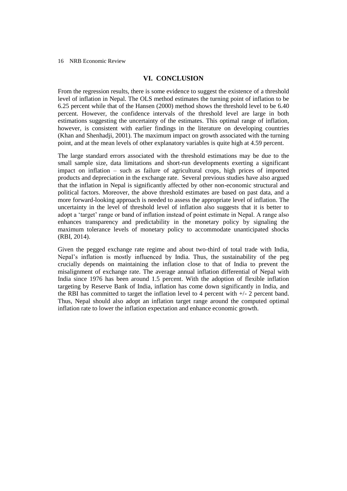## **VI. CONCLUSION**

From the regression results, there is some evidence to suggest the existence of a threshold level of inflation in Nepal. The OLS method estimates the turning point of inflation to be 6.25 percent while that of the Hansen (2000) method shows the threshold level to be 6.40 percent. However, the confidence intervals of the threshold level are large in both estimations suggesting the uncertainty of the estimates. This optimal range of inflation, however, is consistent with earlier findings in the literature on developing countries (Khan and Shenhadji, 2001). The maximum impact on growth associated with the turning point, and at the mean levels of other explanatory variables is quite high at 4.59 percent.

The large standard errors associated with the threshold estimations may be due to the small sample size, data limitations and short-run developments exerting a significant impact on inflation – such as failure of agricultural crops, high prices of imported products and depreciation in the exchange rate. Several previous studies have also argued that the inflation in Nepal is significantly affected by other non-economic structural and political factors. Moreover, the above threshold estimates are based on past data, and a more forward-looking approach is needed to assess the appropriate level of inflation. The uncertainty in the level of threshold level of inflation also suggests that it is better to adopt a 'target' range or band of inflation instead of point estimate in Nepal. A range also enhances transparency and predictability in the monetary policy by signaling the maximum tolerance levels of monetary policy to accommodate unanticipated shocks (RBI, 2014).

Given the pegged exchange rate regime and about two-third of total trade with India, Nepal's inflation is mostly influenced by India. Thus, the sustainability of the peg crucially depends on maintaining the inflation close to that of India to prevent the misalignment of exchange rate. The average annual inflation differential of Nepal with India since 1976 has been around 1.5 percent. With the adoption of flexible inflation targeting by Reserve Bank of India, inflation has come down significantly in India, and the RBI has committed to target the inflation level to 4 percent with  $+/-2$  percent band. Thus, Nepal should also adopt an inflation target range around the computed optimal inflation rate to lower the inflation expectation and enhance economic growth.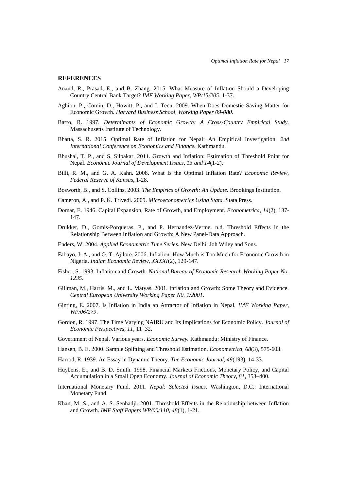#### **REFERENCES**

- Anand, R., Prasad, E., and B. Zhang. 2015. What Measure of Inflation Should a Developing Country Central Bank Target? *IMF Working Paper, WP/15/205*, 1-37.
- Aghion, P., Comin, D., Howitt, P., and I. Tecu. 2009. When Does Domestic Saving Matter for Economic Growth. *Harvard Business School, Working Paper 09-080*.
- Barro, R. 1997. *Determinants of Economic Growth: A Cross-Country Empirical Study.* Massachusetts Institute of Technology.
- Bhatta, S. R. 2015. Optimal Rate of Inflation for Nepal: An Empirical Investigation. *2nd International Conference on Economics and Finance.* Kathmandu.
- Bhushal, T. P., and S. Silpakar. 2011. Growth and Inflation: Estimation of Threshold Point for Nepal. *Economic Journal of Development Issues, 13 and 14*(1-2).
- Billi, R. M., and G. A. Kahn. 2008. What Is the Optimal Inflation Rate? *Economic Review, Federal Reserve of Kansas*, 1-28.
- Bosworth, B., and S. Collins. 2003. *The Empirics of Growth: An Update.* Brookings Institution.
- Cameron, A., and P. K. Trivedi. 2009. *Microeconometrics Using Stata.* Stata Press.
- Domar, E. 1946. Capital Expansion, Rate of Growth, and Employment. *Econometrica, 14*(2), 137- 147.
- Drukker, D., Gomis-Porqueras, P., and P. Hernandez-Verme. n.d. Threshold Effects in the Relationship Between Inflation and Growth: A New Panel-Data Approach.
- Enders, W. 2004. *Applied Econometric Time Series.* New Delhi: Joh Wiley and Sons.
- Fabayo, J. A., and O. T. Ajilore. 2006. Inflation: How Much is Too Much for Economic Growth in Nigeria. *Indian Economic Review, XXXXI*(2), 129-147.
- Fisher, S. 1993. Inflation and Growth. *National Bureau of Economic Research Working Paper No. 1235*.
- Gillman, M., Harris, M., and L. Matyas. 2001. Inflation and Growth: Some Theory and Evidence. *Central European University Working Paper N0. 1/2001*.
- Ginting, E. 2007. Is Inflation in India an Attractor of Inflation in Nepal. *IMF Working Paper, WP/06/279*.
- Gordon, R. 1997. The Time Varying NAIRU and Its Implications for Economic Policy. *Journal of Economic Perspectives, 11*, 11–32.
- Government of Nepal. Various years. *Economic Survey.* Kathmandu: Ministry of Finance.
- Hansen, B. E. 2000. Sample Splitting and Threshold Estimation. *Econometrica, 68*(3), 575-603.
- Harrod, R. 1939. An Essay in Dynamic Theory. *The Economic Journal, 49*(193), 14-33.
- Huybens, E., and B. D. Smith. 1998. Financial Markets Frictions, Monetary Policy, and Capital Accumulation in a Small Open Economy. *Journal of Economic Theory, 81*, 353–400.
- International Monetary Fund. 2011. *Nepal: Selected Issues.* Washington, D.C.: International Monetary Fund.
- Khan, M. S., and A. S. Senhadji. 2001. Threshold Effects in the Relationship between Inflation and Growth. *IMF Staff Papers WP/00/110, 48*(1), 1-21.